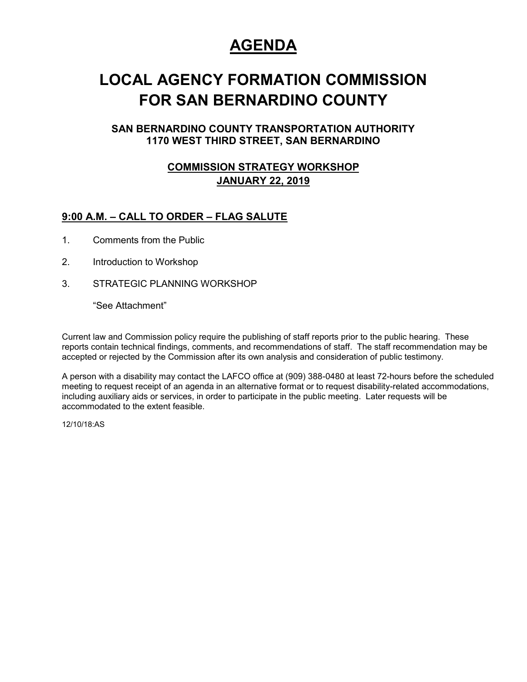## **AGENDA**

## **LOCAL AGENCY FORMATION COMMISSION FOR SAN BERNARDINO COUNTY**

#### **SAN BERNARDINO COUNTY TRANSPORTATION AUTHORITY 1170 WEST THIRD STREET, SAN BERNARDINO**

#### **COMMISSION STRATEGY WORKSHOP JANUARY 22, 2019**

#### **9:00 A.M. – CALL TO ORDER – FLAG SALUTE**

- 1. Comments from the Public
- 2. Introduction to Workshop
- 3. STRATEGIC PLANNING WORKSHOP

"See Attachment"

Current law and Commission policy require the publishing of staff reports prior to the public hearing. These reports contain technical findings, comments, and recommendations of staff. The staff recommendation may be accepted or rejected by the Commission after its own analysis and consideration of public testimony.

A person with a disability may contact the LAFCO office at (909) 388-0480 at least 72-hours before the scheduled meeting to request receipt of an agenda in an alternative format or to request disability-related accommodations, including auxiliary aids or services, in order to participate in the public meeting. Later requests will be accommodated to the extent feasible.

12/10/18:AS